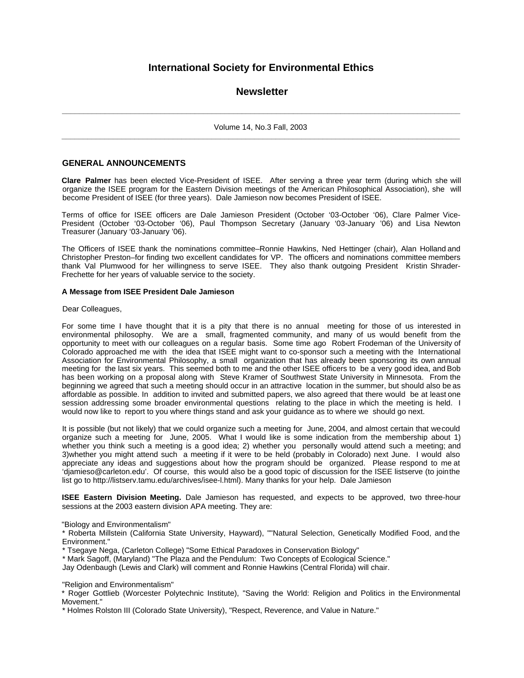# **International Society for Environmental Ethics**

## **Newsletter**

**\_\_\_\_\_\_\_\_\_\_\_\_\_\_\_\_\_\_\_\_\_\_\_\_\_\_\_\_\_\_\_\_\_\_\_\_\_\_\_\_\_\_\_\_\_\_\_\_\_\_\_\_\_\_\_\_\_\_\_\_\_\_\_\_\_\_\_\_\_\_\_\_\_\_\_\_\_\_\_\_\_\_\_\_\_\_\_\_\_\_\_\_\_** Volume 14, No.3 Fall, 2003 **\_\_\_\_\_\_\_\_\_\_\_\_\_\_\_\_\_\_\_\_\_\_\_\_\_\_\_\_\_\_\_\_\_\_\_\_\_\_\_\_\_\_\_\_\_\_\_\_\_\_\_\_\_\_\_\_\_\_\_\_\_\_\_\_\_\_\_\_\_\_\_\_\_\_\_\_\_\_\_\_\_\_\_\_\_\_\_\_\_\_\_\_\_**

## **GENERAL ANNOUNCEMENTS**

**Clare Palmer** has been elected Vice-President of ISEE. After serving a three year term (during which she will organize the ISEE program for the Eastern Division meetings of the American Philosophical Association), she will become President of ISEE (for three years). Dale Jamieson now becomes President of ISEE.

Terms of office for ISEE officers are Dale Jamieson President (October '03-October '06), Clare Palmer Vice-President (October '03-October '06), Paul Thompson Secretary (January '03-January '06) and Lisa Newton Treasurer (January '03-January '06).

The Officers of ISEE thank the nominations committee–Ronnie Hawkins, Ned Hettinger (chair), Alan Holland and Christopher Preston–for finding two excellent candidates for VP. The officers and nominations committee members thank Val Plumwood for her willingness to serve ISEE. They also thank outgoing President Kristin Shrader-Frechette for her years of valuable service to the society.

#### **A Message from ISEE President Dale Jamieson**

#### Dear Colleagues,

For some time I have thought that it is a pity that there is no annual meeting for those of us interested in environmental philosophy. We are a small, fragmented community, and many of us would benefit from the opportunity to meet with our colleagues on a regular basis. Some time ago Robert Frodeman of the University of Colorado approached me with the idea that ISEE might want to co-sponsor such a meeting with the International Association for Environmental Philosophy, a small organization that has already been sponsoring its own annual meeting for the last six years. This seemed both to me and the other ISEE officers to be a very good idea, and Bob has been working on a proposal along with Steve Kramer of Southwest State University in Minnesota. From the beginning we agreed that such a meeting should occur in an attractive location in the summer, but should also be as affordable as possible. In addition to invited and submitted papers, we also agreed that there would be at least one session addressing some broader environmental questions relating to the place in which the meeting is held. I would now like to report to you where things stand and ask your guidance as to where we should go next.

It is possible (but not likely) that we could organize such a meeting for June, 2004, and almost certain that we could organize such a meeting for June, 2005. What I would like is some indication from the membership about 1) whether you think such a meeting is a good idea; 2) whether you personally would attend such a meeting; and 3)whether you might attend such a meeting if it were to be held (probably in Colorado) next June. I would also appreciate any ideas and suggestions about how the program should be organized. Please respond to me at 'djamieso@carleton.edu'. Of course, this would also be a good topic of discussion for the ISEE listserve (to join the list go to http://listserv.tamu.edu/archives/isee-l.html). Many thanks for your help. Dale Jamieson

**ISEE Eastern Division Meeting.** Dale Jamieson has requested, and expects to be approved, two three-hour sessions at the 2003 eastern division APA meeting. They are:

"Biology and Environmentalism"

\* Roberta Millstein (California State University, Hayward), ""Natural Selection, Genetically Modified Food, and the Environment."

\* Tsegaye Nega, (Carleton College) "Some Ethical Paradoxes in Conservation Biology"

\* Mark Sagoff, (Maryland) "The Plaza and the Pendulum: Two Concepts of Ecological Science."

Jay Odenbaugh (Lewis and Clark) will comment and Ronnie Hawkins (Central Florida) will chair.

"Religion and Environmentalism"

\* Roger Gottlieb (Worcester Polytechnic Institute), "Saving the World: Religion and Politics in the Environmental Movement."

\* Holmes Rolston III (Colorado State University), "Respect, Reverence, and Value in Nature."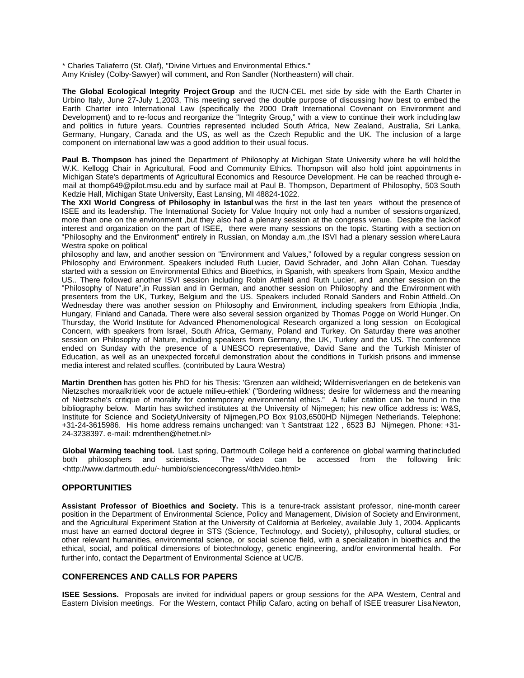\* Charles Taliaferro (St. Olaf), "Divine Virtues and Environmental Ethics."

Amy Knisley (Colby-Sawyer) will comment, and Ron Sandler (Northeastern) will chair.

**The Global Ecological Integrity Project Group** and the IUCN-CEL met side by side with the Earth Charter in Urbino Italy, June 27-July 1,2003, This meeting served the double purpose of discussing how best to embed the Earth Charter into International Law (specifically the 2000 Draft International Covenant on Environment and Development) and to re-focus and reorganize the "Integrity Group," with a view to continue their work including law and politics in future years. Countries represented included South Africa, New Zealand, Australia, Sri Lanka, Germany, Hungary, Canada and the US, as well as the Czech Republic and the UK. The inclusion of a large component on international law was a good addition to their usual focus.

**Paul B. Thompson** has joined the Department of Philosophy at Michigan State University where he will hold the W.K. Kellogg Chair in Agricultural, Food and Community Ethics. Thompson will also hold joint appointments in Michigan State's departments of Agricultural Economics and Resource Development. He can be reached through email at thomp649@pilot.msu.edu and by surface mail at Paul B. Thompson, Department of Philosophy, 503 South Kedzie Hall, Michigan State University, East Lansing, MI 48824-1022.

**The XXI World Congress of Philosophy in Istanbul** was the first in the last ten years without the presence of ISEE and its leadership. The International Society for Value Inquiry not only had a number of sessions organized, more than one on the environment ,but they also had a plenary session at the congress venue. Despite the lack of interest and organization on the part of ISEE, there were many sessions on the topic. Starting with a section on "Philosophy and the Environment" entirely in Russian, on Monday a.m.,the ISVI had a plenary session where Laura Westra spoke on political

philosophy and law, and another session on "Environment and Values," followed by a regular congress session on Philosophy and Environment. Speakers included Ruth Lucier, David Schrader, and John Allan Cohan. Tuesday started with a session on Environmental Ethics and Bioethics, in Spanish, with speakers from Spain, Mexico and the US.. There followed another ISVI session including Robin Attfield and Ruth Lucier, and another session on the "Philosophy of Nature",in Russian and in German, and another session on Philosophy and the Environment with presenters from the UK, Turkey, Belgium and the US. Speakers included Ronald Sanders and Robin Attfield..On Wednesday there was another session on Philosophy and Environment, including speakers from Ethiopia ,India, Hungary, Finland and Canada. There were also several session organized by Thomas Pogge on World Hunger. On Thursday, the World Institute for Advanced Phenomenological Research organized a long session on Ecological Concern, with speakers from Israel, South Africa, Germany, Poland and Turkey. On Saturday there was another session on Philosophy of Nature, including speakers from Germany, the UK, Turkey and the US. The conference ended on Sunday with the presence of a UNESCO representative, David Sane and the Turkish Minister of Education, as well as an unexpected forceful demonstration about the conditions in Turkish prisons and immense media interest and related scuffles. (contributed by Laura Westra)

**Martin Drenthen** has gotten his PhD for his Thesis: 'Grenzen aan wildheid; Wildernisverlangen en de betekenis van Nietzsches moraalkritiek voor de actuele milieu-ethiek' ("Bordering wildness; desire for wilderness and the meaning of Nietzsche's critique of morality for contemporary environmental ethics." A fuller citation can be found in the bibliography below. Martin has switched institutes at the University of Nijmegen; his new office address is: W&S, Institute for Science and SocietyUniversity of Nijmegen,PO Box 9103,6500HD Nijmegen Netherlands. Telephone: +31-24-3615986. His home address remains unchanged: van 't Santstraat 122 , 6523 BJ Nijmegen. Phone: +31- 24-3238397. e-mail: mdrenthen@hetnet.nl>

**Global Warming teaching tool.** Last spring, Dartmouth College held a conference on global warming that included both philosophers and scientists. The video can be accessed from the following link: both philosophers and scientists. The video can be accessed from the following link: <http://www.dartmouth.edu/~humbio/sciencecongress/4th/video.html>

#### **OPPORTUNITIES**

**Assistant Professor of Bioethics and Society.** This is a tenure-track assistant professor, nine-month career position in the Department of Environmental Science, Policy and Management, Division of Society and Environment, and the Agricultural Experiment Station at the University of California at Berkeley, available July 1, 2004. Applicants must have an earned doctoral degree in STS (Science, Technology, and Society), philosophy, cultural studies, or other relevant humanities, environmental science, or social science field, with a specialization in bioethics and the ethical, social, and political dimensions of biotechnology, genetic engineering, and/or environmental health. For further info, contact the Department of Environmental Science at UC/B.

### **CONFERENCES AND CALLS FOR PAPERS**

**ISEE Sessions.** Proposals are invited for individual papers or group sessions for the APA Western, Central and Eastern Division meetings. For the Western, contact Philip Cafaro, acting on behalf of ISEE treasurer Lisa Newton,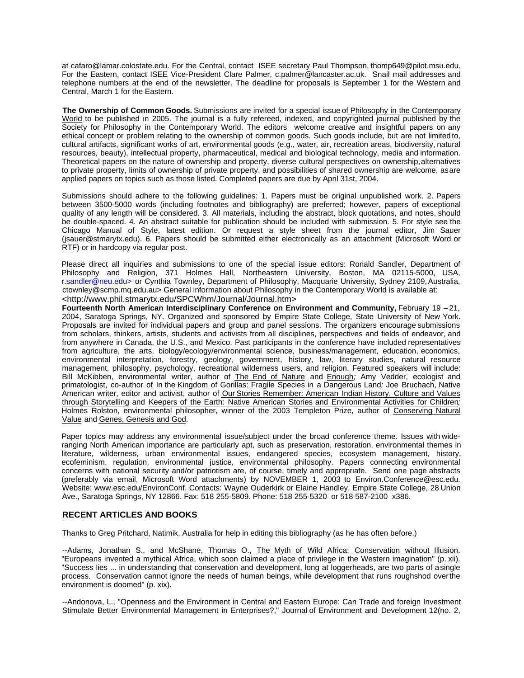at cafaro@lamar.colostate.edu. For the Central, contact ISEE secretary Paul Thompson, thomp649@pilot.msu.edu. For the Eastern, contact ISEE Vice-President Clare Palmer, c.palmer@lancaster.ac.uk. Snail mail addresses and telephone numbers at the end of the newsletter. The deadline for proposals is September 1 for the Western and Central, March 1 for the Eastern.

**The Ownership of Common Goods.** Submissions are invited for a special issue of Philosophy in the Contemporary World to be published in 2005. The journal is a fully refereed, indexed, and copyrighted journal published by the Society for Philosophy in the Contemporary World. The editors welcome creative and insightful papers on any ethical concept or problem relating to the ownership of common goods. Such goods include, but are not limited to, cultural artifacts, significant works of art, environmental goods (e.g., water, air, recreation areas, biodiversity, natural resources, beauty), intellectual property, pharmaceutical, medical and biological technology, media and information. Theoretical papers on the nature of ownership and property, diverse cultural perspectives on ownership, alternatives to private property, limits of ownership of private property, and possibilities of shared ownership are welcome, as are applied papers on topics such as those listed. Completed papers are due by April 31st, 2004.

Submissions should adhere to the following guidelines: 1. Papers must be original unpublished work. 2. Papers between 3500-5000 words (including footnotes and bibliography) are preferred; however, papers of exceptional quality of any length will be considered. 3. All materials, including the abstract, block quotations, and notes, should be double-spaced. 4. An abstract suitable for publication should be included with submission. 5. For style see the Chicago Manual of Style, latest edition. Or request a style sheet from the journal editor, Jim Sauer (jsauer@stmarytx.edu). 6. Papers should be submitted either electronically as an attachment (Microsoft Word or RTF) or in hardcopy via regular post.

Please direct all inquiries and submissions to one of the special issue editors: Ronald Sandler, Department of Philosophy and Religion, 371 Holmes Hall, Northeastern University, Boston, MA 02115-5000, USA, r.sandler@neu.edu> or Cynthia Townley, Department of Philosophy, Macquarie University, Sydney 2109, Australia, ctownley@scmp.mq.edu.au> General information about Philosophy in the Contemporary World is available at: <http://www.phil.stmarytx.edu/SPCWhm/Journal/Journal.htm>

Fourteenth North American Interdisciplinary Conference on Environment and Community, February 19 - 21, 2004, Saratoga Springs, NY. Organized and sponsored by Empire State College, State University of New York. Proposals are invited for individual papers and group and panel sessions. The organizers encourage submissions from scholars, thinkers, artists, students and activists from all disciplines, perspectives and fields of endeavor, and from anywhere in Canada, the U.S., and Mexico. Past participants in the conference have included representatives from agriculture, the arts, biology/ecology/environmental science, business/management, education, economics, environmental interpretation, forestry, geology, government, history, law, literary studies, natural resource management, philosophy, psychology, recreational wilderness users, and religion. Featured speakers will include: Bill McKibben, environmental writer, author of The End of Nature and Enough*;* Amy Vedder, ecologist and primatologist, co-author of In the Kingdom of Gorillas: Fragile Species in a Dangerous Land*;* Joe Bruchach, Native American writer, editor and activist, author of Our Stories Remember: American Indian History, Culture and Values through Storytelling and Keepers of the Earth: Native American Stories and Environmental Activities for Children*;* Holmes Rolston, environmental philosopher, winner of the 2003 Templeton Prize, author of Conserving Natural Value and Genes, Genesis and God.

Paper topics may address any environmental issue/subject under the broad conference theme. Issues with wideranging North American importance are particularly apt, such as preservation, restoration, environmental themes in literature, wilderness, urban environmental issues, endangered species, ecosystem management, history, ecofeminism, regulation, environmental justice, environmental philosophy. Papers connecting environmental concerns with national security and/or patriotism are, of course, timely and appropriate. Send one page abstracts (preferably via email, Microsoft Word attachments) by NOVEMBER 1, 2003 to Environ.Conference@esc.edu. Website: www.esc.edu/EnvironConf. Contacts: Wayne Ouderkirk or Elaine Handley, Empire State College, 28 Union Ave., Saratoga Springs, NY 12866. Fax: 518 255-5809. Phone: 518 255-5320 or 518 587-2100 x386.

## **RECENT ARTICLES AND BOOKS**

Thanks to Greg Pritchard, Natimik, Australia for help in editing this bibliography (as he has often before.)

--Adams, Jonathan S., and McShane, Thomas O., The Myth of Wild Africa: Conservation without Illusion. "Europeans invented a mythical Africa, which soon claimed a place of privilege in the Western imagination" (p. xii). "Success lies ... in understanding that conservation and development, long at loggerheads, are two parts of a single process. Conservation cannot ignore the needs of human beings, while development that runs roughshod over the environment is doomed" (p. xix).

--Andonova, L., "Openness and the Environment in Central and Eastern Europe: Can Trade and foreign Investment Stimulate Better Environmental Management in Enterprises?," Journal of Environment and Development 12(no. 2,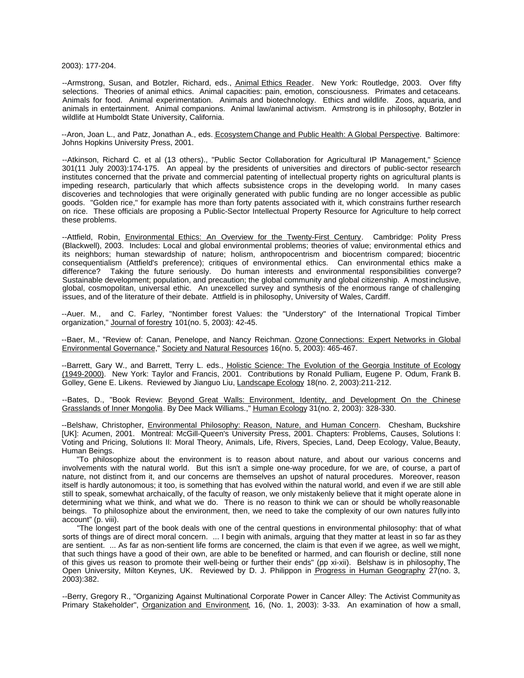2003): 177-204.

--Armstrong, Susan, and Botzler, Richard, eds., Animal Ethics Reader. New York: Routledge, 2003. Over fifty selections. Theories of animal ethics. Animal capacities: pain, emotion, consciousness. Primates and cetaceans. Animals for food. Animal experimentation. Animals and biotechnology. Ethics and wildlife. Zoos, aquaria, and animals in entertainment. Animal companions. Animal law/animal activism. Armstrong is in philosophy, Botzler in wildlife at Humboldt State University, California.

--Aron, Joan L., and Patz, Jonathan A., eds. Ecosystem Change and Public Health: A Global Perspective. Baltimore: Johns Hopkins University Press, 2001.

--Atkinson, Richard C. et al (13 others)., "Public Sector Collaboration for Agricultural IP Management," Science 301(11 July 2003):174-175. An appeal by the presidents of universities and directors of public-sector research institutes concerned that the private and commercial patenting of intellectual property rights on agricultural plants is impeding research, particularly that which affects subsistence crops in the developing world. In many cases discoveries and technologies that were originally generated with public funding are no longer accessible as public goods. "Golden rice," for example has more than forty patents associated with it, which constrains further research on rice. These officials are proposing a Public-Sector Intellectual Property Resource for Agriculture to help correct these problems.

--Attfield, Robin, Environmental Ethics: An Overview for the Twenty-First Century. Cambridge: Polity Press (Blackwell), 2003. Includes: Local and global environmental problems; theories of value; environmental ethics and its neighbors; human stewardship of nature; holism, anthropocentrism and biocentrism compared; biocentric consequentialism (Attfield's preference); critiques of environmental ethics. Can environmental ethics make a difference? Taking the future seriously. Do human interests and environmental responsibilities converge? Sustainable development; population, and precaution; the global community and global citizenship. A most inclusive, global, cosmopolitan, universal ethic. An unexcelled survey and synthesis of the enormous range of challenging issues, and of the literature of their debate. Attfield is in philosophy, University of Wales, Cardiff.

--Auer. M., and C. Farley, "Nontimber forest Values: the "Understory" of the International Tropical Timber organization," Journal of forestry 101(no. 5, 2003): 42-45.

--Baer, M., "Review of: Canan, Penelope, and Nancy Reichman. Ozone Connections: Expert Networks in Global Environmental Governance," Society and Natural Resources 16(no. 5, 2003): 465-467.

--Barrett, Gary W., and Barrett, Terry L. eds., Holistic Science: The Evolution of the Georgia Institute of Ecology (1949-2000). New York: Taylor and Francis, 2001. Contributions by Ronald Pulliam, Eugene P. Odum, Frank B. Golley, Gene E. Likens. Reviewed by Jianguo Liu, Landscape Ecology 18(no. 2, 2003):211-212.

--Bates, D., "Book Review: Beyond Great Walls: Environment, Identity, and Development On the Chinese Grasslands of Inner Mongolia. By Dee Mack Williams.," Human Ecology 31(no. 2, 2003): 328-330.

--Belshaw, Christopher, Environmental Philosophy: Reason, Nature, and Human Concern. Chesham, Buckshire [UK]: Acumen, 2001. Montreal: McGill-Queen's University Press, 2001. Chapters: Problems, Causes, Solutions I: Voting and Pricing, Solutions II: Moral Theory, Animals, Life, Rivers, Species, Land, Deep Ecology, Value, Beauty, Human Beings.

"To philosophize about the environment is to reason about nature, and about our various concerns and involvements with the natural world. But this isn't a simple one-way procedure, for we are, of course, a part of nature, not distinct from it, and our concerns are themselves an upshot of natural procedures. Moreover, reason itself is hardly autonomous; it too, is something that has evolved within the natural world, and even if we are still able still to speak, somewhat archaically, of the faculty of reason, we only mistakenly believe that it might operate alone in determining what we think, and what we do. There is no reason to think we can or should be wholly reasonable beings. To philosophize about the environment, then, we need to take the complexity of our own natures fully into account" (p. viii).

"The longest part of the book deals with one of the central questions in environmental philosophy: that of what sorts of things are of direct moral concern. ... I begin with animals, arguing that they matter at least in so far as they are sentient. ... As far as non-sentient life forms are concerned, the claim is that even if we agree, as well we might, that such things have a good of their own, are able to be benefited or harmed, and can flourish or decline, still none of this gives us reason to promote their well-being or further their ends" (pp xi-xii). Belshaw is in philosophy, The Open University, Milton Keynes, UK. Reviewed by D. J. Philippon in Progress in Human Geography 27(no. 3, 2003):382.

--Berry, Gregory R., "Organizing Against Multinational Corporate Power in Cancer Alley: The Activist Community as Primary Stakeholder", Organization and Environment, 16, (No. 1, 2003): 3-33. An examination of how a small,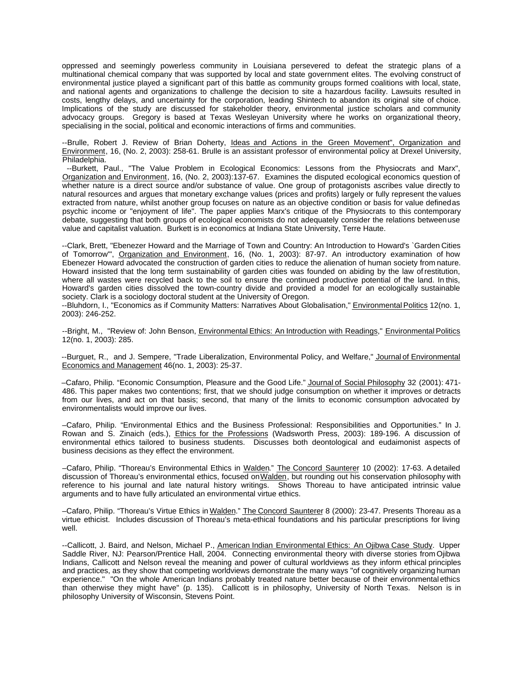oppressed and seemingly powerless community in Louisiana persevered to defeat the strategic plans of a multinational chemical company that was supported by local and state government elites. The evolving construct of environmental justice played a significant part of this battle as community groups formed coalitions with local, state, and national agents and organizations to challenge the decision to site a hazardous facility. Lawsuits resulted in costs, lengthy delays, and uncertainty for the corporation, leading Shintech to abandon its original site of choice. Implications of the study are discussed for stakeholder theory, environmental justice scholars and community advocacy groups. Gregory is based at Texas Wesleyan University where he works on organizational theory, specialising in the social, political and economic interactions of firms and communities.

--Brulle, Robert J. Review of Brian Doherty, Ideas and Actions in the Green Movement", Organization and Environment, 16, (No. 2, 2003): 258-61. Brulle is an assistant professor of environmental policy at Drexel University, Philadelphia.

--Burkett, Paul., "The Value Problem in Ecological Economics: Lessons from the Physiocrats and Marx", Organization and Environment, 16, (No. 2, 2003):137-67. Examines the disputed ecological economics question of whether nature is a direct source and/or substance of value. One group of protagonists ascribes value directly to natural resources and argues that monetary exchange values (prices and profits) largely or fully represent the values extracted from nature, whilst another group focuses on nature as an objective condition or basis for value defined as psychic income or "enjoyment of life". The paper applies Marx's critique of the Physiocrats to this contemporary debate, suggesting that both groups of ecological economists do not adequately consider the relations between use value and capitalist valuation. Burkett is in economics at Indiana State University, Terre Haute.

--Clark, Brett, "Ebenezer Howard and the Marriage of Town and Country: An Introduction to Howard's `Garden Cities of Tomorrow", Organization and Environment, 16, (No. 1, 2003): 87-97. An introductory examination of how Ebenezer Howard advocated the construction of garden cities to reduce the alienation of human society from nature. Howard insisted that the long term sustainability of garden cities was founded on abiding by the law of restitution, where all wastes were recycled back to the soil to ensure the continued productive potential of the land. In this, Howard's garden cities dissolved the town-country divide and provided a model for an ecologically sustainable society. Clark is a sociology doctoral student at the University of Oregon.

--Bluhdorn, I., "Economics as if Community Matters: Narratives About Globalisation," Environmental Politics 12(no. 1, 2003): 246-252.

--Bright, M., "Review of: John Benson, Environmental Ethics: An Introduction with Readings," Environmental Politics 12(no. 1, 2003): 285.

--Burguet, R., and J. Sempere, "Trade Liberalization, Environmental Policy, and Welfare," Journal of Environmental Economics and Management 46(no. 1, 2003): 25-37.

–Cafaro, Philip. "Economic Consumption, Pleasure and the Good Life." Journal of Social Philosophy 32 (2001): 471- 486. This paper makes two contentions; first, that we should judge consumption on whether it improves or detracts from our lives, and act on that basis; second, that many of the limits to economic consumption advocated by environmentalists would improve our lives.

–Cafaro, Philip. "Environmental Ethics and the Business Professional: Responsibilities and Opportunities." In J. Rowan and S. Zinaich (eds.), Ethics for the Professions (Wadsworth Press, 2003): 189-196. A discussion of environmental ethics tailored to business students. Discusses both deontological and eudaimonist aspects of business decisions as they effect the environment.

–Cafaro, Philip. "Thoreau's Environmental Ethics in Walden." The Concord Saunterer 10 (2002): 17-63. A detailed discussion of Thoreau's environmental ethics, focused on Walden, but rounding out his conservation philosophy with reference to his journal and late natural history writings. Shows Thoreau to have anticipated intrinsic value arguments and to have fully articulated an environmental virtue ethics.

–Cafaro, Philip. "Thoreau's Virtue Ethics in Walden." The Concord Saunterer 8 (2000): 23-47. Presents Thoreau as a virtue ethicist. Includes discussion of Thoreau's meta-ethical foundations and his particular prescriptions for living well.

--Callicott, J. Baird, and Nelson, Michael P., American Indian Environmental Ethics: An Ojibwa Case Study. Upper Saddle River, NJ: Pearson/Prentice Hall, 2004. Connecting environmental theory with diverse stories from Ojibwa Indians, Callicott and Nelson reveal the meaning and power of cultural worldviews as they inform ethical principles and practices, as they show that competing worldviews demonstrate the many ways "of cognitively organizing human experience." "On the whole American Indians probably treated nature better because of their environmental ethics than otherwise they might have" (p. 135). Callicott is in philosophy, University of North Texas. Nelson is in philosophy University of Wisconsin, Stevens Point.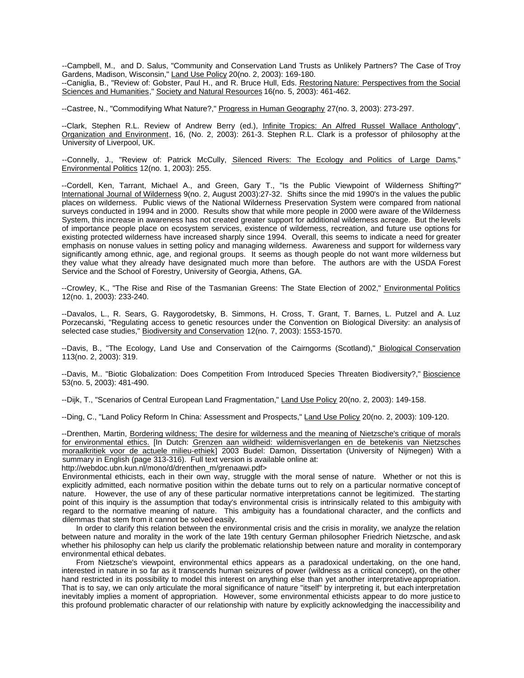--Campbell, M., and D. Salus, "Community and Conservation Land Trusts as Unlikely Partners? The Case of Troy Gardens, Madison, Wisconsin," Land Use Policy 20(no. 2, 2003): 169-180.

--Caniglia, B., "Review of: Gobster, Paul H., and R. Bruce Hull, Eds. Restoring Nature: Perspectives from the Social Sciences and Humanities," Society and Natural Resources 16(no. 5, 2003): 461-462.

--Castree, N., "Commodifying What Nature?," Progress in Human Geography 27(no. 3, 2003): 273-297.

--Clark, Stephen R.L. Review of Andrew Berry (ed.), *Infinite Tropics: An Alfred Russel Wallace Anthology*", Organization and Environment, 16, (No. 2, 2003): 261-3. Stephen R.L. Clark is a professor of philosophy at the University of Liverpool, UK.

--Connelly, J., "Review of: Patrick McCully, Silenced Rivers: The Ecology and Politics of Large Dams," Environmental Politics 12(no. 1, 2003): 255.

--Cordell, Ken, Tarrant, Michael A., and Green, Gary T., "Is the Public Viewpoint of Wilderness Shifting?" International Journal of Wilderness 9(no. 2, August 2003):27-32. Shifts since the mid 1990's in the values the public places on wilderness. Public views of the National Wilderness Preservation System were compared from national surveys conducted in 1994 and in 2000. Results show that while more people in 2000 were aware of the Wilderness System, this increase in awareness has not created greater support for additional wilderness acreage. But the levels of importance people place on ecosystem services, existence of wilderness, recreation, and future use options for existing protected wilderness have increased sharply since 1994. Overall, this seems to indicate a need for greater emphasis on nonuse values in setting policy and managing wilderness. Awareness and support for wilderness vary significantly among ethnic, age, and regional groups. It seems as though people do not want more wilderness but they value what they already have designated much more than before. The authors are with the USDA Forest Service and the School of Forestry, University of Georgia, Athens, GA.

--Crowley, K., "The Rise and Rise of the Tasmanian Greens: The State Election of 2002," Environmental Politics 12(no. 1, 2003): 233-240.

--Davalos, L., R. Sears, G. Raygorodetsky, B. Simmons, H. Cross, T. Grant, T. Barnes, L. Putzel and A. Luz Porzecanski, "Regulating access to genetic resources under the Convention on Biological Diversity: an analysis of selected case studies," Biodiversity and Conservation 12(no. 7, 2003): 1553-1570.

--Davis, B., "The Ecology, Land Use and Conservation of the Cairngorms (Scotland)," Biological Conservation 113(no. 2, 2003): 319.

--Davis, M.. "Biotic Globalization: Does Competition From Introduced Species Threaten Biodiversity?," Bioscience 53(no. 5, 2003): 481-490.

--Dijk, T., "Scenarios of Central European Land Fragmentation," Land Use Policy 20(no. 2, 2003): 149-158.

--Ding, C., "Land Policy Reform In China: Assessment and Prospects," Land Use Policy 20(no. 2, 2003): 109-120.

--Drenthen, Martin, Bordering wildness; The desire for wilderness and the meaning of Nietzsche's critique of morals for environmental ethics. [In Dutch: Grenzen aan wildheid: wildernisverlangen en de betekenis van Nietzsches moraalkritiek voor de actuele milieu-ethiek] 2003 Budel: Damon, Dissertation (University of Nijmegen) With a summary in English (page 313-316). Full text version is available online at:

http://webdoc.ubn.kun.nl/mono/d/drenthen\_m/grenaawi.pdf>

Environmental ethicists, each in their own way, struggle with the moral sense of nature. Whether or not this is explicitly admitted, each normative position within the debate turns out to rely on a particular normative concept of nature. However, the use of any of these particular normative interpretations cannot be legitimized. The starting point of this inquiry is the assumption that today's environmental crisis is intrinsically related to this ambiguity with regard to the normative meaning of nature. This ambiguity has a foundational character, and the conflicts and dilemmas that stem from it cannot be solved easily.

In order to clarify this relation between the environmental crisis and the crisis in morality, we analyze the relation between nature and morality in the work of the late 19th century German philosopher Friedrich Nietzsche, and ask whether his philosophy can help us clarify the problematic relationship between nature and morality in contemporary environmental ethical debates.

From Nietzsche's viewpoint, environmental ethics appears as a paradoxical undertaking, on the one hand, interested in nature in so far as it transcends human seizures of power (wildness as a critical concept), on the other hand restricted in its possibility to model this interest on anything else than yet another interpretative appropriation. That is to say, we can only articulate the moral significance of nature "itself" by interpreting it, but each interpretation inevitably implies a moment of appropriation. However, some environmental ethicists appear to do more justice to this profound problematic character of our relationship with nature by explicitly acknowledging the inaccessibility and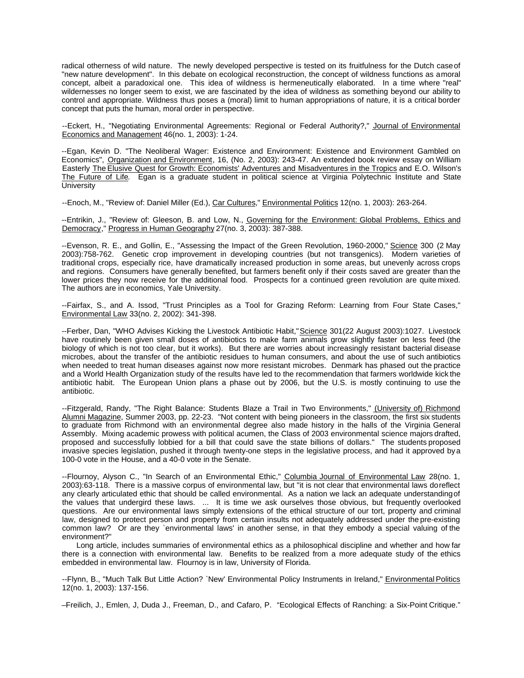radical otherness of wild nature. The newly developed perspective is tested on its fruitfulness for the Dutch case of "new nature development". In this debate on ecological reconstruction, the concept of wildness functions as a moral concept, albeit a paradoxical one. This idea of wildness is hermeneutically elaborated. In a time where "real" wildernesses no longer seem to exist, we are fascinated by the idea of wildness as something beyond our ability to control and appropriate. Wildness thus poses a (moral) limit to human appropriations of nature, it is a critical border concept that puts the human, moral order in perspective.

--Eckert, H., "Negotiating Environmental Agreements: Regional or Federal Authority?," Journal of Environmental Economics and Management 46(no. 1, 2003): 1-24.

--Egan, Kevin D. "The Neoliberal Wager: Existence and Environment: Existence and Environment Gambled on Economics", Organization and Environment, 16, (No. 2, 2003): 243-47. An extended book review essay on William Easterly The Elusive Quest for Growth: Economists' Adventures and Misadventures in the Tropics and E.O. Wilson's The Future of Life. Egan is a graduate student in political science at Virginia Polytechnic Institute and State University

--Enoch, M., "Review of: Daniel Miller (Ed.), Car Cultures," Environmental Politics 12(no. 1, 2003): 263-264.

--Entrikin, J., "Review of: Gleeson, B. and Low, N., Governing for the Environment: Global Problems, Ethics and Democracy," Progress in Human Geography 27(no. 3, 2003): 387-388.

--Evenson, R. E., and Gollin, E., "Assessing the Impact of the Green Revolution, 1960-2000," Science 300 (2 May 2003):758-762. Genetic crop improvement in developing countries (but not transgenics). Modern varieties of traditional crops, especially rice, have dramatically increased production in some areas, but unevenly across crops and regions. Consumers have generally benefited, but farmers benefit only if their costs saved are greater than the lower prices they now receive for the additional food. Prospects for a continued green revolution are quite mixed. The authors are in economics, Yale University.

--Fairfax, S., and A. Issod, "Trust Principles as a Tool for Grazing Reform: Learning from Four State Cases," Environmental Law 33(no. 2, 2002): 341-398.

--Ferber, Dan, "WHO Advises Kicking the Livestock Antibiotic Habit," Science 301(22 August 2003):1027. Livestock have routinely been given small doses of antibiotics to make farm animals grow slightly faster on less feed (the biology of which is not too clear, but it works). But there are worries about increasingly resistant bacterial disease microbes, about the transfer of the antibiotic residues to human consumers, and about the use of such antibiotics when needed to treat human diseases against now more resistant microbes. Denmark has phased out the practice and a World Health Organization study of the results have led to the recommendation that farmers worldwide kick the antibiotic habit. The European Union plans a phase out by 2006, but the U.S. is mostly continuing to use the antibiotic.

--Fitzgerald, Randy, "The Right Balance: Students Blaze a Trail in Two Environments," (University of) Richmond Alumni Magazine, Summer 2003, pp. 22-23. "Not content with being pioneers in the classroom, the first six students to graduate from Richmond with an environmental degree also made history in the halls of the Virginia General Assembly. Mixing academic prowess with political acumen, the Class of 2003 environmental science majors drafted, proposed and successfully lobbied for a bill that could save the state billions of dollars." The students proposed invasive species legislation, pushed it through twenty-one steps in the legislative process, and had it approved by a 100-0 vote in the House, and a 40-0 vote in the Senate.

--Flournoy, Alyson C., "In Search of an Environmental Ethic," Columbia Journal of Environmental Law 28(no. 1, 2003):63-118. There is a massive corpus of environmental law, but "it is not clear that environmental laws do reflect any clearly articulated ethic that should be called environmental. As a nation we lack an adequate understanding of the values that undergird these laws. ... It is time we ask ourselves those obvious, but frequently overlooked questions. Are our environmental laws simply extensions of the ethical structure of our tort, property and criminal law, designed to protect person and property from certain insults not adequately addressed under the pre-existing common law? Or are they `environmental laws' in another sense, in that they embody a special valuing of the environment?"

Long article, includes summaries of environmental ethics as a philosophical discipline and whether and how far there is a connection with environmental law. Benefits to be realized from a more adequate study of the ethics embedded in environmental law. Flournoy is in law, University of Florida.

--Flynn, B., "Much Talk But Little Action? `New' Environmental Policy Instruments in Ireland," *Environmental Politics* 12(no. 1, 2003): 137-156.

–Freilich, J., Emlen, J, Duda J., Freeman, D., and Cafaro, P. "Ecological Effects of Ranching: a Six-Point Critique."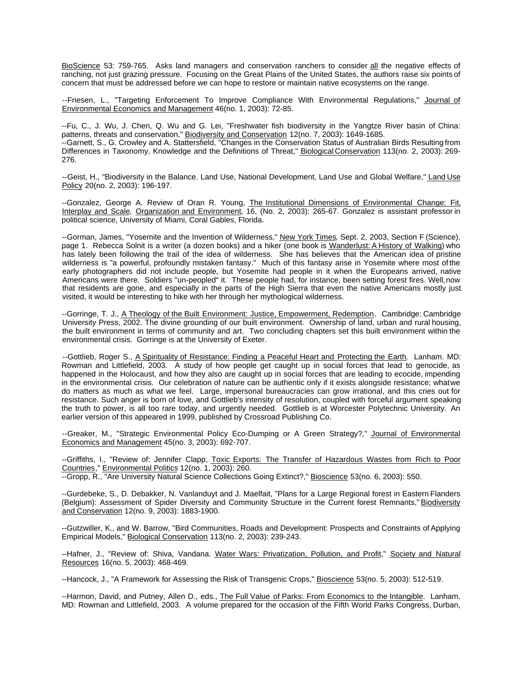BioScience 53: 759-765. Asks land managers and conservation ranchers to consider all the negative effects of ranching, not just grazing pressure. Focusing on the Great Plains of the United States, the authors raise six points of concern that must be addressed before we can hope to restore or maintain native ecosystems on the range.

--Friesen, L., "Targeting Enforcement To Improve Compliance With Environmental Regulations," Journal of Environmental Economics and Management 46(no. 1, 2003): 72-85.

--Fu, C., J. Wu, J. Chen, Q. Wu and G. Lei, "Freshwater fish biodiversity in the Yangtze River basin of China: patterns, threats and conservation," Biodiversity and Conservation 12(no. 7, 2003): 1649-1685. --Garnett, S., G. Crowley and A. Stattersfield, "Changes in the Conservation Status of Australian Birds Resulting from Differences in Taxonomy, Knowledge and the Definitions of Threat," Biological Conservation 113(no. 2, 2003): 269-276.

--Geist, H., "Biodiversity in the Balance. Land Use, National Development, Land Use and Global Welfare," Land Use Policy 20(no. 2, 2003): 196-197.

--Gonzalez, George A. Review of Oran R. Young, The Institutional Dimensions of Environmental Change: Fit, Interplay and Scale, Organization and Environment, 16, (No. 2, 2003): 265-67. Gonzalez is assistant professor in political science, University of Miami, Coral Gables, Florida.

--Gorman, James, "Yosemite and the Invention of Wilderness," New York Times, Sept. 2, 2003, Section F (Science), page 1. Rebecca Solnit is a writer (a dozen books) and a hiker (one book is Wanderlust: A History of Walking) who has lately been following the trail of the idea of wilderness. She has believes that the American idea of pristine wilderness is "a powerful, profoundly mistaken fantasy." Much of this fantasy arise in Yosemite where most of the early photographers did not include people, but Yosemite had people in it when the Europeans arrived, native Americans were there. Soldiers "un-peopled" it. These people had, for instance, been setting forest fires. Well, now that residents are gone, and especially in the parts of the High Sierra that even the native Americans mostly just visited, it would be interesting to hike with her through her mythological wilderness.

--Gorringe, T. J., A Theology of the Built Environment: Justice, Empowerment, Redemption. Cambridge: Cambridge University Press, 2002. The divine grounding of our built environment. Ownership of land, urban and rural housing, the built environment in terms of community and art. Two concluding chapters set this built environment within the environmental crisis. Gorringe is at the University of Exeter.

--Gottlieb, Roger S., A Spirituality of Resistance: Finding a Peaceful Heart and Protecting the Earth. Lanham. MD: Rowman and Littlefield, 2003. A study of how people get caught up in social forces that lead to genocide, as happened in the Holocaust, and how they also are caught up in social forces that are leading to ecocide, impending in the environmental crisis. Our celebration of nature can be authentic only if it exists alongside resistance; what we do matters as much as what we feel. Large, impersonal bureaucracies can grow irrational, and this cries out for resistance. Such anger is born of love, and Gottlieb's intensity of resolution, coupled with forceful argument speaking the truth to power, is all too rare today, and urgently needed. Gottlieb is at Worcester Polytechnic University. An earlier version of this appeared in 1999, published by Crossroad Publishing Co.

--Greaker, M., "Strategic Environmental Policy Eco-Dumping or A Green Strategy?," Journal of Environmental Economics and Management 45(no. 3, 2003): 692-707.

--Griffiths, I., "Review of: Jennifer Clapp, Toxic Exports: The Transfer of Hazardous Wastes from Rich to Poor Countries," Environmental Politics 12(no. 1, 2003): 260.

--Gropp, R., "Are University Natural Science Collections Going Extinct?," Bioscience 53(no. 6, 2003): 550.

--Gurdebeke, S., D. Debakker, N. Vanlanduyt and J. Maelfait, "Plans for a Large Regional forest in Eastern Flanders (Belgium): Assessment of Spider Diversity and Community Structure in the Current forest Remnants," Biodiversity and Conservation 12(no. 9, 2003): 1883-1900.

--Gutzwiller, K., and W. Barrow, "Bird Communities, Roads and Development: Prospects and Constraints of Applying Empirical Models," Biological Conservation 113(no. 2, 2003): 239-243.

--Hafner, J., "Review of: Shiva, Vandana. Water Wars: Privatization, Pollution, and Profit," Society and Natural Resources 16(no. 5, 2003): 468-469.

--Hancock, J., "A Framework for Assessing the Risk of Transgenic Crops," Bioscience 53(no. 5, 2003): 512-519.

--Harmon, David, and Putney, Allen D., eds., The Full Value of Parks: From Economics to the Intangible. Lanham. MD: Rowman and Littlefield, 2003. A volume prepared for the occasion of the Fifth World Parks Congress, Durban,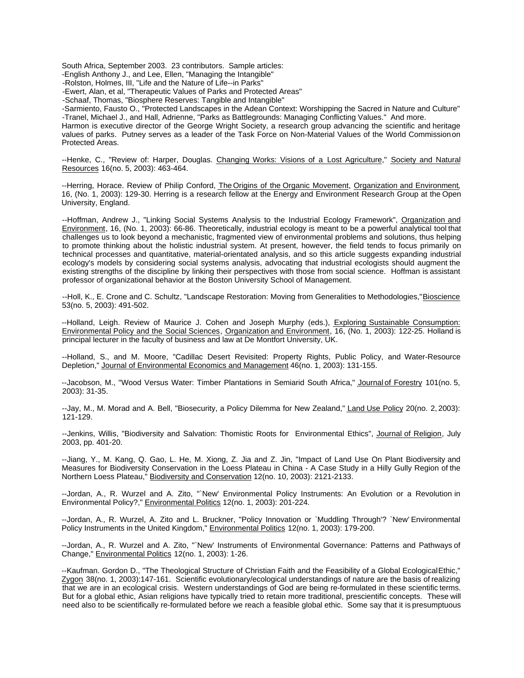South Africa, September 2003. 23 contributors. Sample articles:

-English Anthony J., and Lee, Ellen, "Managing the Intangible"

-Rolston, Holmes, III, "Life and the Nature of Life--in Parks"

-Ewert, Alan, et al, "Therapeutic Values of Parks and Protected Areas"

-Schaaf, Thomas, "Biosphere Reserves: Tangible and Intangible"

-Sarmiento, Fausto O., "Protected Landscapes in the Adean Context: Worshipping the Sacred in Nature and Culture" -Tranel, Michael J., and Hall, Adrienne, "Parks as Battlegrounds: Managing Conflicting Values." And more.

Harmon is executive director of the George Wright Society, a research group advancing the scientific and heritage values of parks. Putney serves as a leader of the Task Force on Non-Material Values of the World Commission on Protected Areas.

--Henke, C., "Review of: Harper, Douglas. Changing Works: Visions of a Lost Agriculture," Society and Natural Resources 16(no. 5, 2003): 463-464.

--Herring, Horace. Review of Philip Conford, The Origins of the Organic Movement, Organization and Environment, 16, (No. 1, 2003): 129-30. Herring is a research fellow at the Energy and Environment Research Group at the Open University, England.

--Hoffman, Andrew J., "Linking Social Systems Analysis to the Industrial Ecology Framework", Organization and Environment, 16, (No. 1, 2003): 66-86. Theoretically, industrial ecology is meant to be a powerful analytical tool that challenges us to look beyond a mechanistic, fragmented view of environmental problems and solutions, thus helping to promote thinking about the holistic industrial system. At present, however, the field tends to focus primarily on technical processes and quantitative, material-orientated analysis, and so this article suggests expanding industrial ecology's models by considering social systems analysis, advocating that industrial ecologists should augment the existing strengths of the discipline by linking their perspectives with those from social science. Hoffman is assistant professor of organizational behavior at the Boston University School of Management.

--Holl, K., E. Crone and C. Schultz, "Landscape Restoration: Moving from Generalities to Methodologies," Bioscience 53(no. 5, 2003): 491-502.

--Holland, Leigh. Review of Maurice J. Cohen and Joseph Murphy (eds.), Exploring Sustainable Consumption: Environmental Policy and the Social Sciences, Organization and Environment, 16, (No. 1, 2003): 122-25. Holland is principal lecturer in the faculty of business and law at De Montfort University, UK.

--Holland, S., and M. Moore, "Cadillac Desert Revisited: Property Rights, Public Policy, and Water-Resource Depletion," Journal of Environmental Economics and Management 46(no. 1, 2003): 131-155.

--Jacobson, M., "Wood Versus Water: Timber Plantations in Semiarid South Africa," Journal of Forestry 101(no. 5, 2003): 31-35.

--Jay, M., M. Morad and A. Bell, "Biosecurity, a Policy Dilemma for New Zealand," Land Use Policy 20(no. 2, 2003): 121-129.

--Jenkins, Willis, "Biodiversity and Salvation: Thomistic Roots for Environmental Ethics", Journal of Religion, July 2003, pp. 401-20.

--Jiang, Y., M. Kang, Q. Gao, L. He, M. Xiong, Z. Jia and Z. Jin, "Impact of Land Use On Plant Biodiversity and Measures for Biodiversity Conservation in the Loess Plateau in China - A Case Study in a Hilly Gully Region of the Northern Loess Plateau," Biodiversity and Conservation 12(no. 10, 2003): 2121-2133.

--Jordan, A., R. Wurzel and A. Zito, "`New' Environmental Policy Instruments: An Evolution or a Revolution in Environmental Policy?," Environmental Politics 12(no. 1, 2003): 201-224.

--Jordan, A., R. Wurzel, A. Zito and L. Bruckner, "Policy Innovation or `Muddling Through'? `New' Environmental Policy Instruments in the United Kingdom," Environmental Politics 12(no. 1, 2003): 179-200.

--Jordan, A., R. Wurzel and A. Zito, "`New' Instruments of Environmental Governance: Patterns and Pathways of Change," Environmental Politics 12(no. 1, 2003): 1-26.

--Kaufman. Gordon D., "The Theological Structure of Christian Faith and the Feasibility of a Global Ecological Ethic," Zygon 38(no. 1, 2003):147-161. Scientific evolutionary/ecological understandings of nature are the basis of realizing that we are in an ecological crisis. Western understandings of God are being re-formulated in these scientific terms. But for a global ethic, Asian religions have typically tried to retain more traditional, prescientific concepts. These will need also to be scientifically re-formulated before we reach a feasible global ethic. Some say that it is presumptuous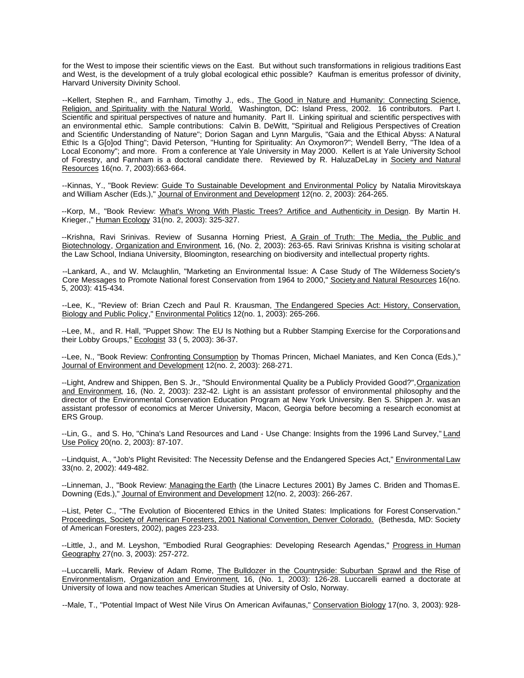for the West to impose their scientific views on the East. But without such transformations in religious traditions East and West, is the development of a truly global ecological ethic possible? Kaufman is emeritus professor of divinity, Harvard University Divinity School.

--Kellert, Stephen R., and Farnham, Timothy J., eds., The Good in Nature and Humanity: Connecting Science, Religion, and Spirituality with the Natural World. Washington, DC: Island Press, 2002. 16 contributors. Part I. Scientific and spiritual perspectives of nature and humanity. Part II. Linking spiritual and scientific perspectives with an environmental ethic. Sample contributions: Calvin B. DeWitt, "Spiritual and Religious Perspectives of Creation and Scientific Understanding of Nature"; Dorion Sagan and Lynn Margulis, "Gaia and the Ethical Abyss: A Natural Ethic Is a G[o]od Thing"; David Peterson, "Hunting for Spirituality: An Oxymoron?"; Wendell Berry, "The Idea of a Local Economy"; and more. From a conference at Yale University in May 2000. Kellert is at Yale University School of Forestry, and Farnham is a doctoral candidate there. Reviewed by R. HaluzaDeLay in Society and Natural Resources 16(no. 7, 2003):663-664.

--Kinnas, Y., "Book Review: Guide To Sustainable Development and Environmental Policy by Natalia Mirovitskaya and William Ascher (Eds.)," Journal of Environment and Development 12(no. 2, 2003): 264-265.

--Korp, M., "Book Review: What's Wrong With Plastic Trees? Artifice and Authenticity in Design. By Martin H. Krieger.," Human Ecology 31(no. 2, 2003): 325-327.

--Krishna, Ravi Srinivas. Review of Susanna Horning Priest, A Grain of Truth: The Media, the Public and Biotechnology, Organization and Environment, 16, (No. 2, 2003): 263-65. Ravi Srinivas Krishna is visiting scholar at the Law School, Indiana University, Bloomington, researching on biodiversity and intellectual property rights.

--Lankard, A., and W. Mclaughlin, "Marketing an Environmental Issue: A Case Study of The Wilderness Society's Core Messages to Promote National forest Conservation from 1964 to 2000," Society and Natural Resources 16(no. 5, 2003): 415-434.

--Lee, K., "Review of: Brian Czech and Paul R. Krausman, The Endangered Species Act: History, Conservation, Biology and Public Policy," Environmental Politics 12(no. 1, 2003): 265-266.

--Lee, M., and R. Hall, "Puppet Show: The EU Is Nothing but a Rubber Stamping Exercise for the Corporations and their Lobby Groups," Ecologist 33 ( 5, 2003): 36-37.

--Lee, N., "Book Review: Confronting Consumption by Thomas Princen, Michael Maniates, and Ken Conca (Eds.)," Journal of Environment and Development 12(no. 2, 2003): 268-271.

--Light, Andrew and Shippen, Ben S. Jr., "Should Environmental Quality be a Publicly Provided Good?", Organization and Environment, 16, (No. 2, 2003): 232-42. Light is an assistant professor of environmental philosophy and the director of the Environmental Conservation Education Program at New York University. Ben S. Shippen Jr. was an assistant professor of economics at Mercer University, Macon, Georgia before becoming a research economist at ERS Group.

--Lin, G., and S. Ho, "China's Land Resources and Land - Use Change: Insights from the 1996 Land Survey," Land Use Policy 20(no. 2, 2003): 87-107.

--Lindquist, A., "Job's Plight Revisited: The Necessity Defense and the Endangered Species Act," Environmental Law 33(no. 2, 2002): 449-482.

--Linneman, J., "Book Review: Managing the Earth (the Linacre Lectures 2001) By James C. Briden and Thomas E. Downing (Eds.)," Journal of Environment and Development 12(no. 2, 2003): 266-267.

--List, Peter C., "The Evolution of Biocentered Ethics in the United States: Implications for Forest Conservation." Proceedings, Society of American Foresters, 2001 National Convention, Denver Colorado. (Bethesda, MD: Society of American Foresters, 2002), pages 223-233.

--Little, J., and M. Leyshon, "Embodied Rural Geographies: Developing Research Agendas," Progress in Human Geography 27(no. 3, 2003): 257-272.

--Luccarelli, Mark. Review of Adam Rome, The Bulldozer in the Countryside: Suburban Sprawl and the Rise of Environmentalism, Organization and Environment, 16, (No. 1, 2003): 126-28. Luccarelli earned a doctorate at University of Iowa and now teaches American Studies at University of Oslo, Norway.

--Male, T., "Potential Impact of West Nile Virus On American Avifaunas," Conservation Biology 17(no. 3, 2003): 928-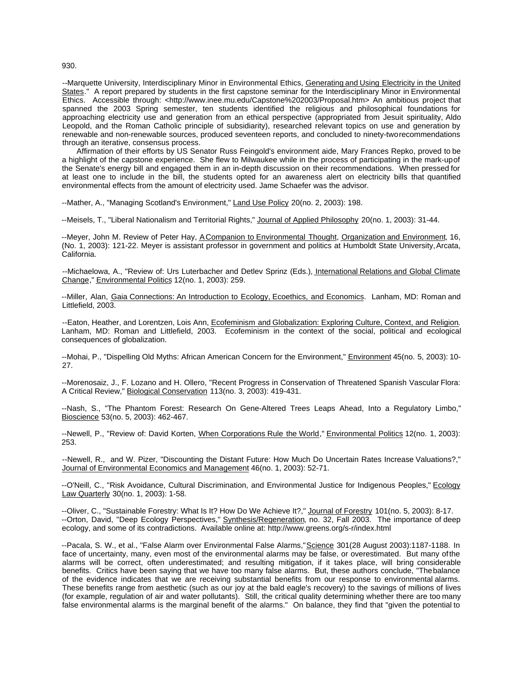--Marquette University, Interdisciplinary Minor in Environmental Ethics, Generating and Using Electricity in the United States." A report prepared by students in the first capstone seminar for the Interdisciplinary Minor in Environmental Ethics. Accessible through: <http://www.inee.mu.edu/Capstone%202003/Proposal.htm> An ambitious project that spanned the 2003 Spring semester, ten students identified the religious and philosophical foundations for approaching electricity use and generation from an ethical perspective (appropriated from Jesuit spirituality, Aldo Leopold, and the Roman Catholic principle of subsidiarity), researched relevant topics on use and generation by renewable and non-renewable sources, produced seventeen reports, and concluded to ninety-two recommendations through an iterative, consensus process.

Affirmation of their efforts by US Senator Russ Feingold's environment aide, Mary Frances Repko, proved to be a highlight of the capstone experience. She flew to Milwaukee while in the process of participating in the mark-up of the Senate's energy bill and engaged them in an in-depth discussion on their recommendations. When pressed for at least one to include in the bill, the students opted for an awareness alert on electricity bills that quantified environmental effects from the amount of electricity used. Jame Schaefer was the advisor.

--Mather, A., "Managing Scotland's Environment," Land Use Policy 20(no. 2, 2003): 198.

--Meisels, T., "Liberal Nationalism and Territorial Rights," Journal of Applied Philosophy 20(no. 1, 2003): 31-44.

--Meyer, John M. Review of Peter Hay, A Companion to Environmental Thought, Organization and Environment, 16, (No. 1, 2003): 121-22. Meyer is assistant professor in government and politics at Humboldt State University, Arcata, California.

--Michaelowa, A., "Review of: Urs Luterbacher and Detlev Sprinz (Eds.), International Relations and Global Climate Change," Environmental Politics 12(no. 1, 2003): 259.

--Miller, Alan, Gaia Connections: An Introduction to Ecology, Ecoethics, and Economics. Lanham, MD: Roman and Littlefield, 2003.

--Eaton, Heather, and Lorentzen, Lois Ann, Ecofeminism and Globalization: Exploring Culture, Context, and Religion. Lanham, MD: Roman and Littlefield, 2003. Ecofeminism in the context of the social, political and ecological consequences of globalization.

--Mohai, P., "Dispelling Old Myths: African American Concern for the Environment," Environment 45(no. 5, 2003): 10- 27.

--Morenosaiz, J., F. Lozano and H. Ollero, "Recent Progress in Conservation of Threatened Spanish Vascular Flora: A Critical Review," Biological Conservation 113(no. 3, 2003): 419-431.

--Nash, S., "The Phantom Forest: Research On Gene-Altered Trees Leaps Ahead, Into a Regulatory Limbo," Bioscience 53(no. 5, 2003): 462-467.

--Newell, P., "Review of: David Korten, When Corporations Rule the World," Environmental Politics 12(no. 1, 2003): 253.

--Newell, R., and W. Pizer, "Discounting the Distant Future: How Much Do Uncertain Rates Increase Valuations?," Journal of Environmental Economics and Management 46(no. 1, 2003): 52-71.

--O'Neill, C., "Risk Avoidance, Cultural Discrimination, and Environmental Justice for Indigenous Peoples," Ecology Law Quarterly 30(no. 1, 2003): 1-58.

--Oliver, C., "Sustainable Forestry: What Is It? How Do We Achieve It?," Journal of Forestry 101(no. 5, 2003): 8-17. --Orton, David, "Deep Ecology Perspectives," Synthesis/Regeneration, no. 32, Fall 2003. The importance of deep ecology, and some of its contradictions. Available online at: http://www.greens.org/s-r/index.html

--Pacala, S. W., et al., "False Alarm over Environmental False Alarms," Science 301(28 August 2003):1187-1188. In face of uncertainty, many, even most of the environmental alarms may be false, or overestimated. But many of the alarms will be correct, often underestimated; and resulting mitigation, if it takes place, will bring considerable benefits. Critics have been saying that we have too many false alarms. But, these authors conclude, "The balance of the evidence indicates that we are receiving substantial benefits from our response to environmental alarms. These benefits range from aesthetic (such as our joy at the bald eagle's recovery) to the savings of millions of lives (for example, regulation of air and water pollutants). Still, the critical quality determining whether there are too many false environmental alarms is the marginal benefit of the alarms." On balance, they find that "given the potential to

930.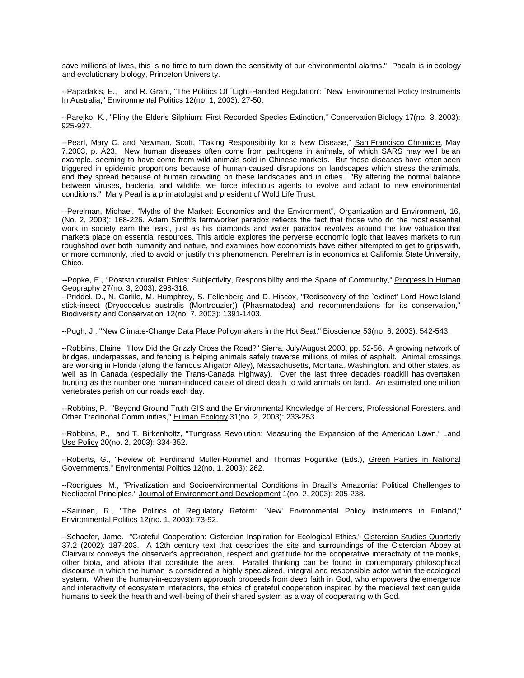save millions of lives, this is no time to turn down the sensitivity of our environmental alarms." Pacala is in ecology and evolutionary biology, Princeton University.

--Papadakis, E., and R. Grant, "The Politics Of `Light-Handed Regulation': `New' Environmental Policy Instruments In Australia," Environmental Politics 12(no. 1, 2003): 27-50.

--Parejko, K., "Pliny the Elder's Silphium: First Recorded Species Extinction," Conservation Biology 17(no. 3, 2003): 925-927.

--Pearl, Mary C. and Newman, Scott, "Taking Responsibility for a New Disease," San Francisco Chronicle, May 7,2003, p. A23. New human diseases often come from pathogens in animals, of which SARS may well be an example, seeming to have come from wild animals sold in Chinese markets. But these diseases have often been triggered in epidemic proportions because of human-caused disruptions on landscapes which stress the animals, and they spread because of human crowding on these landscapes and in cities. "By altering the normal balance between viruses, bacteria, and wildlife, we force infectious agents to evolve and adapt to new environmental conditions." Mary Pearl is a primatologist and president of Wold Life Trust.

--Perelman, Michael. "Myths of the Market: Economics and the Environment", Organization and Environment, 16, (No. 2, 2003): 168-226. Adam Smith's farmworker paradox reflects the fact that those who do the most essential work in society earn the least, just as his diamonds and water paradox revolves around the low valuation that markets place on essential resources. This article explores the perverse economic logic that leaves markets to run roughshod over both humanity and nature, and examines how economists have either attempted to get to grips with, or more commonly, tried to avoid or justify this phenomenon. Perelman is in economics at California State University, Chico.

--Popke, E., "Poststructuralist Ethics: Subjectivity, Responsibility and the Space of Community," Progress in Human Geography 27(no. 3, 2003): 298-316.

--Priddel, D., N. Carlile, M. Humphrey, S. Fellenberg and D. Hiscox, "Rediscovery of the `extinct' Lord Howe Island stick-insect (Dryococelus australis (Montrouzier)) (Phasmatodea) and recommendations for its conservation," Biodiversity and Conservation 12(no. 7, 2003): 1391-1403.

--Pugh, J., "New Climate-Change Data Place Policymakers in the Hot Seat," Bioscience 53(no. 6, 2003): 542-543.

--Robbins, Elaine, "How Did the Grizzly Cross the Road?" Sierra, July/August 2003, pp. 52-56. A growing network of bridges, underpasses, and fencing is helping animals safely traverse millions of miles of asphalt. Animal crossings are working in Florida (along the famous Alligator Alley), Massachusetts, Montana, Washington, and other states, as well as in Canada (especially the Trans-Canada Highway). Over the last three decades roadkill has overtaken hunting as the number one human-induced cause of direct death to wild animals on land. An estimated one million vertebrates perish on our roads each day.

--Robbins, P., "Beyond Ground Truth GIS and the Environmental Knowledge of Herders, Professional Foresters, and Other Traditional Communities," Human Ecology 31(no. 2, 2003): 233-253.

--Robbins, P., and T. Birkenholtz, "Turfgrass Revolution: Measuring the Expansion of the American Lawn," Land Use Policy 20(no. 2, 2003): 334-352.

--Roberts, G., "Review of: Ferdinand Muller-Rommel and Thomas Poguntke (Eds.), Green Parties in National Governments," Environmental Politics 12(no. 1, 2003): 262.

--Rodrigues, M., "Privatization and Socioenvironmental Conditions in Brazil's Amazonia: Political Challenges to Neoliberal Principles," Journal of Environment and Development 1(no. 2, 2003): 205-238.

--Sairinen, R., "The Politics of Regulatory Reform: `New' Environmental Policy Instruments in Finland," Environmental Politics 12(no. 1, 2003): 73-92.

--Schaefer, Jame. "Grateful Cooperation: Cistercian Inspiration for Ecological Ethics," Cistercian Studies Quarterly 37.2 (2002): 187-203. A 12th century text that describes the site and surroundings of the Cistercian Abbey at Clairvaux conveys the observer's appreciation, respect and gratitude for the cooperative interactivity of the monks, other biota, and abiota that constitute the area. Parallel thinking can be found in contemporary philosophical discourse in which the human is considered a highly specialized, integral and responsible actor within the ecological system. When the human-in-ecosystem approach proceeds from deep faith in God, who empowers the emergence and interactivity of ecosystem interactors, the ethics of grateful cooperation inspired by the medieval text can guide humans to seek the health and well-being of their shared system as a way of cooperating with God.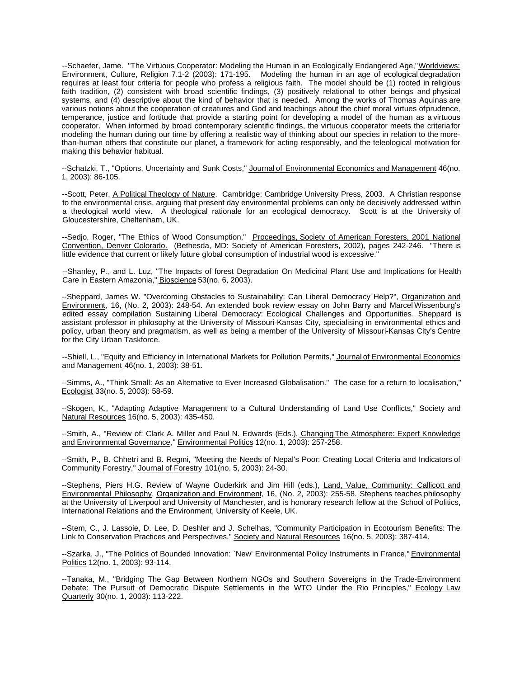--Schaefer, Jame. "The Virtuous Cooperator: Modeling the Human in an Ecologically Endangered Age," Worldviews: Environment, Culture, Religion 7.1-2 (2003): 171-195. Modeling the human in an age of ecological degradation requires at least four criteria for people who profess a religious faith. The model should be (1) rooted in religious faith tradition, (2) consistent with broad scientific findings, (3) positively relational to other beings and physical systems, and (4) descriptive about the kind of behavior that is needed. Among the works of Thomas Aquinas are various notions about the cooperation of creatures and God and teachings about the chief moral virtues of prudence, temperance, justice and fortitude that provide a starting point for developing a model of the human as a virtuous cooperator. When informed by broad contemporary scientific findings, the virtuous cooperator meets the criteria for modeling the human during our time by offering a realistic way of thinking about our species in relation to the morethan-human others that constitute our planet, a framework for acting responsibly, and the teleological motivation for making this behavior habitual.

--Schatzki, T., "Options, Uncertainty and Sunk Costs," Journal of Environmental Economics and Management 46(no. 1, 2003): 86-105.

--Scott, Peter, A Political Theology of Nature. Cambridge: Cambridge University Press, 2003. A Christian response to the environmental crisis, arguing that present day environmental problems can only be decisively addressed within a theological world view. A theological rationale for an ecological democracy. Scott is at the University of Gloucestershire, Cheltenham, UK.

--Sedjo, Roger, "The Ethics of Wood Consumption," Proceedings, Society of American Foresters, 2001 National Convention, Denver Colorado. (Bethesda, MD: Society of American Foresters, 2002), pages 242-246. "There is little evidence that current or likely future global consumption of industrial wood is excessive."

--Shanley, P., and L. Luz, "The Impacts of forest Degradation On Medicinal Plant Use and Implications for Health Care in Eastern Amazonia," Bioscience 53(no. 6, 2003).

--Sheppard, James W. "Overcoming Obstacles to Sustainability: Can Liberal Democracy Help?", Organization and Environment, 16, (No. 2, 2003): 248-54. An extended book review essay on John Barry and Marcel Wissenburg's edited essay compilation Sustaining Liberal Democracy: Ecological Challenges and Opportunities. Sheppard is assistant professor in philosophy at the University of Missouri-Kansas City, specialising in environmental ethics and policy, urban theory and pragmatism, as well as being a member of the University of Missouri-Kansas City's Centre for the City Urban Taskforce.

--Shiell, L., "Equity and Efficiency in International Markets for Pollution Permits," Journal of Environmental Economics and Management 46(no. 1, 2003): 38-51.

--Simms, A., "Think Small: As an Alternative to Ever Increased Globalisation." The case for a return to localisation," Ecologist 33(no. 5, 2003): 58-59.

--Skogen, K., "Adapting Adaptive Management to a Cultural Understanding of Land Use Conflicts," Society and Natural Resources 16(no. 5, 2003): 435-450.

--Smith, A., "Review of: Clark A. Miller and Paul N. Edwards (Eds.), Changing The Atmosphere: Expert Knowledge and Environmental Governance," Environmental Politics 12(no. 1, 2003): 257-258.

--Smith, P., B. Chhetri and B. Regmi, "Meeting the Needs of Nepal's Poor: Creating Local Criteria and Indicators of Community Forestry," Journal of Forestry 101(no. 5, 2003): 24-30.

--Stephens, Piers H.G. Review of Wayne Ouderkirk and Jim Hill (eds.), Land, Value, Community: Callicott and Environmental Philosophy, Organization and Environment, 16, (No. 2, 2003): 255-58. Stephens teaches philosophy at the University of Liverpool and University of Manchester, and is honorary research fellow at the School of Politics, International Relations and the Environment, University of Keele, UK.

--Stem, C., J. Lassoie, D. Lee, D. Deshler and J. Schelhas, "Community Participation in Ecotourism Benefits: The Link to Conservation Practices and Perspectives," Society and Natural Resources 16(no. 5, 2003): 387-414.

--Szarka, J., "The Politics of Bounded Innovation: `New' Environmental Policy Instruments in France," Environmental Politics 12(no. 1, 2003): 93-114.

--Tanaka, M., "Bridging The Gap Between Northern NGOs and Southern Sovereigns in the Trade-Environment Debate: The Pursuit of Democratic Dispute Settlements in the WTO Under the Rio Principles," Ecology Law Quarterly 30(no. 1, 2003): 113-222.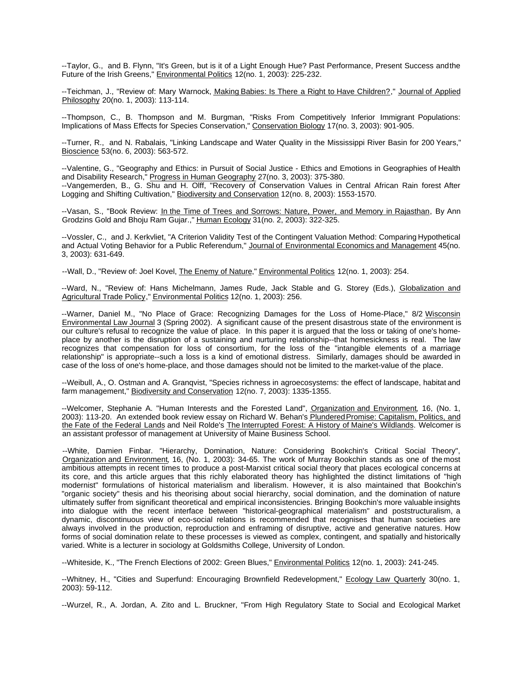--Taylor, G., and B. Flynn, "It's Green, but is it of a Light Enough Hue? Past Performance, Present Success and the Future of the Irish Greens," Environmental Politics 12(no. 1, 2003): 225-232.

--Teichman, J., "Review of: Mary Warnock, Making Babies: Is There a Right to Have Children?," Journal of Applied Philosophy 20(no. 1, 2003): 113-114.

--Thompson, C., B. Thompson and M. Burgman, "Risks From Competitively Inferior Immigrant Populations: Implications of Mass Effects for Species Conservation," Conservation Biology 17(no. 3, 2003): 901-905.

--Turner, R., and N. Rabalais, "Linking Landscape and Water Quality in the Mississippi River Basin for 200 Years," Bioscience 53(no. 6, 2003): 563-572.

--Valentine, G., "Geography and Ethics: in Pursuit of Social Justice - Ethics and Emotions in Geographies of Health and Disability Research," Progress in Human Geography 27(no. 3, 2003): 375-380. --Vangemerden, B., G. Shu and H. Olff, "Recovery of Conservation Values in Central African Rain forest After Logging and Shifting Cultivation," Biodiversity and Conservation 12(no. 8, 2003): 1553-1570.

--Vasan, S., "Book Review: In the Time of Trees and Sorrows: Nature, Power, and Memory in Rajasthan, By Ann Grodzins Gold and Bhoju Ram Gujar.," Human Ecology 31(no. 2, 2003): 322-325.

--Vossler, C., and J. Kerkvliet, "A Criterion Validity Test of the Contingent Valuation Method: Comparing Hypothetical and Actual Voting Behavior for a Public Referendum," Journal of Environmental Economics and Management 45(no. 3, 2003): 631-649.

--Wall, D., "Review of: Joel Kovel, The Enemy of Nature," Environmental Politics 12(no. 1, 2003): 254.

--Ward, N., "Review of: Hans Michelmann, James Rude, Jack Stable and G. Storey (Eds.), Globalization and Agricultural Trade Policy," Environmental Politics 12(no. 1, 2003): 256.

--Warner, Daniel M., "No Place of Grace: Recognizing Damages for the Loss of Home-Place," 8/2 Wisconsin Environmental Law Journal 3 (Spring 2002). A significant cause of the present disastrous state of the environment is our culture's refusal to recognize the value of place. In this paper it is argued that the loss or taking of one's homeplace by another is the disruption of a sustaining and nurturing relationship--that homesickness is real. The law recognizes that compensation for loss of consortium, for the loss of the "intangible elements of a marriage relationship" is appropriate--such a loss is a kind of emotional distress. Similarly, damages should be awarded in case of the loss of one's home-place, and those damages should not be limited to the market-value of the place.

--Weibull, A., O. Ostman and A. Granqvist, "Species richness in agroecosystems: the effect of landscape, habitat and farm management," Biodiversity and Conservation 12(no. 7, 2003): 1335-1355.

--Welcomer, Stephanie A. "Human Interests and the Forested Land", Organization and Environment, 16, (No. 1, 2003): 113-20. An extended book review essay on Richard W. Behan's Plundered Promise: Capitalism, Politics, and the Fate of the Federal Lands and Neil Rolde's The Interrupted Forest: A History of Maine's Wildlands. Welcomer is an assistant professor of management at University of Maine Business School.

--White, Damien Finbar. "Hierarchy, Domination, Nature: Considering Bookchin's Critical Social Theory", Organization and Environment, 16, (No. 1, 2003): 34-65. The work of Murray Bookchin stands as one of the most ambitious attempts in recent times to produce a post-Marxist critical social theory that places ecological concerns at its core, and this article argues that this richly elaborated theory has highlighted the distinct limitations of "high modernist" formulations of historical materialism and liberalism. However, it is also maintained that Bookchin's "organic society" thesis and his theorising about social hierarchy, social domination, and the domination of nature ultimately suffer from significant theoretical and empirical inconsistencies. Bringing Bookchin's more valuable insights into dialogue with the recent interface between "historical-geographical materialism" and poststructuralism, a dynamic, discontinuous view of eco-social relations is recommended that recognises that human societies are always involved in the production, reproduction and enframing of disruptive, active and generative natures. How forms of social domination relate to these processes is viewed as complex, contingent, and spatially and historically varied. White is a lecturer in sociology at Goldsmiths College, University of London.

--Whiteside, K., "The French Elections of 2002: Green Blues," Environmental Politics 12(no. 1, 2003): 241-245.

--Whitney, H., "Cities and Superfund: Encouraging Brownfield Redevelopment," Ecology Law Quarterly 30(no. 1, 2003): 59-112.

--Wurzel, R., A. Jordan, A. Zito and L. Bruckner, "From High Regulatory State to Social and Ecological Market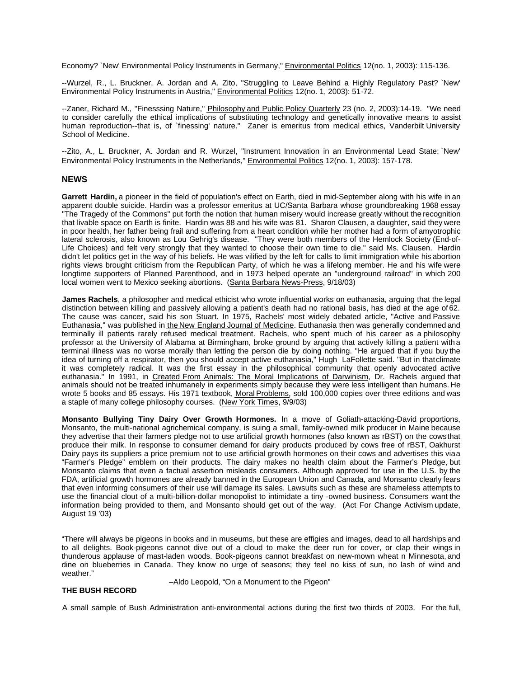Economy? `New' Environmental Policy Instruments in Germany," Environmental Politics 12(no. 1, 2003): 115-136.

--Wurzel, R., L. Bruckner, A. Jordan and A. Zito, "Struggling to Leave Behind a Highly Regulatory Past? `New' Environmental Policy Instruments in Austria," Environmental Politics 12(no. 1, 2003): 51-72.

--Zaner, Richard M., "Finesssing Nature," Philosophy and Public Policy Quarterly 23 (no. 2, 2003):14-19. "We need to consider carefully the ethical implications of substituting technology and genetically innovative means to assist human reproduction--that is, of `finessing' nature." Zaner is emeritus from medical ethics, Vanderbilt University School of Medicine.

--Zito, A., L. Bruckner, A. Jordan and R. Wurzel, "Instrument Innovation in an Environmental Lead State: `New' Environmental Policy Instruments in the Netherlands," Environmental Politics 12(no. 1, 2003): 157-178.

#### **NEWS**

**Garrett Hardin,** a pioneer in the field of population's effect on Earth, died in mid-September along with his wife in an apparent double suicide. Hardin was a professor emeritus at UC/Santa Barbara whose groundbreaking 1968 essay "The Tragedy of the Commons" put forth the notion that human misery would increase greatly without the recognition that livable space on Earth is finite. Hardin was 88 and his wife was 81. Sharon Clausen, a daughter, said they were in poor health, her father being frail and suffering from a heart condition while her mother had a form of amyotrophic lateral sclerosis, also known as Lou Gehrig's disease. "They were both members of the Hemlock Society (End-of-Life Choices) and felt very strongly that they wanted to choose their own time to die," said Ms. Clausen. Hardin didn't let politics get in the way of his beliefs. He was vilified by the left for calls to limit immigration while his abortion rights views brought criticism from the Republican Party, of which he was a lifelong member. He and his wife were longtime supporters of Planned Parenthood, and in 1973 helped operate an "underground railroad" in which 200 local women went to Mexico seeking abortions. (Santa Barbara News-Press, 9/18/03)

**James Rachels**, a philosopher and medical ethicist who wrote influential works on euthanasia, arguing that the legal distinction between killing and passively allowing a patient's death had no rational basis, has died at the age of 62. The cause was cancer, said his son Stuart. In 1975, Rachels' most widely debated article, "Active and Passive Euthanasia," was published in the New England Journal of Medicine. Euthanasia then was generally condemned and terminally ill patients rarely refused medical treatment. Rachels, who spent much of his career as a philosophy professor at the University of Alabama at Birmingham, broke ground by arguing that actively killing a patient with a terminal illness was no worse morally than letting the person die by doing nothing. "He argued that if you buy the idea of turning off a respirator, then you should accept active euthanasia," Hugh LaFollette said. "But in that climate it was completely radical. It was the first essay in the philosophical community that openly advocated active euthanasia." In 1991, in Created From Animals: The Moral Implications of Darwinism, Dr. Rachels argued that animals should not be treated inhumanely in experiments simply because they were less intelligent than humans. He wrote 5 books and 85 essays. His 1971 textbook, Moral Problems, sold 100,000 copies over three editions and was a staple of many college philosophy courses. (New York Times, 9/9/03)

**Monsanto Bullying Tiny Dairy Over Growth Hormones.** In a move of Goliath-attacking-David proportions, Monsanto, the multi-national agrichemical company, is suing a small, family-owned milk producer in Maine because they advertise that their farmers pledge not to use artificial growth hormones (also known as rBST) on the cows that produce their milk. In response to consumer demand for dairy products produced by cows free of rBST, Oakhurst Dairy pays its suppliers a price premium not to use artificial growth hormones on their cows and advertises this viaa "Farmer's Pledge" emblem on their products. The dairy makes no health claim about the Farmer's Pledge, but Monsanto claims that even a factual assertion misleads consumers. Although approved for use in the U.S. by the FDA, artificial growth hormones are already banned in the European Union and Canada, and Monsanto clearly fears that even informing consumers of their use will damage its sales. Lawsuits such as these are shameless attempts to use the financial clout of a multi-billion-dollar monopolist to intimidate a tiny -owned business. Consumers want the information being provided to them, and Monsanto should get out of the way. (Act For Change Activism update, August 19 '03)

"There will always be pigeons in books and in museums, but these are effigies and images, dead to all hardships and to all delights. Book-pigeons cannot dive out of a cloud to make the deer run for cover, or clap their wings in thunderous applause of mast-laden woods. Book-pigeons cannot breakfast on new-mown wheat n Minnesota, and dine on blueberries in Canada. They know no urge of seasons; they feel no kiss of sun, no lash of wind and weather."

#### **THE BUSH RECORD**

–Aldo Leopold, "On a Monument to the Pigeon"

A small sample of Bush Administration anti-environmental actions during the first two thirds of 2003. For the full,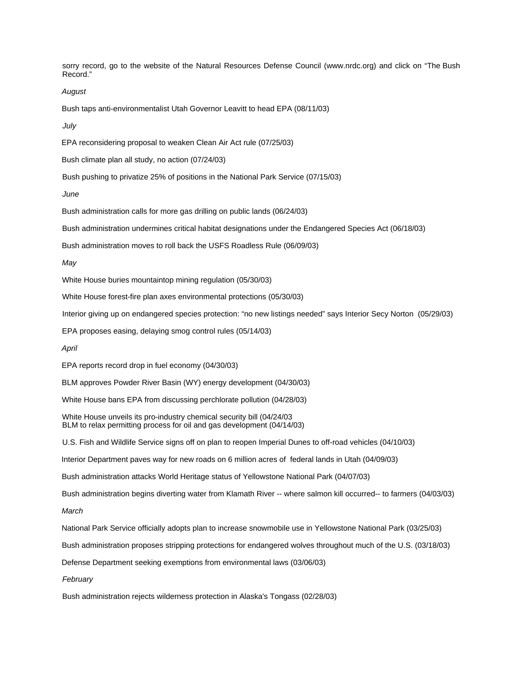sorry record, go to the website of the Natural Resources Defense Council (www.nrdc.org) and click on "The Bush Record."

*August*

Bush taps anti-environmentalist Utah Governor Leavitt to head EPA (08/11/03)

*July*

EPA reconsidering proposal to weaken Clean Air Act rule (07/25/03)

Bush climate plan all study, no action (07/24/03)

Bush pushing to privatize 25% of positions in the National Park Service (07/15/03)

*June*

Bush administration calls for more gas drilling on public lands (06/24/03)

Bush administration undermines critical habitat designations under the Endangered Species Act (06/18/03)

Bush administration moves to roll back the USFS Roadless Rule (06/09/03)

*May*

White House buries mountaintop mining regulation (05/30/03)

White House forest-fire plan axes environmental protections (05/30/03)

Interior giving up on endangered species protection: "no new listings needed" says Interior Secy Norton (05/29/03)

EPA proposes easing, delaying smog control rules (05/14/03)

*April*

EPA reports record drop in fuel economy (04/30/03)

BLM approves Powder River Basin (WY) energy development (04/30/03)

White House bans EPA from discussing perchlorate pollution (04/28/03)

White House unveils its pro-industry chemical security bill (04/24/03 BLM to relax permitting process for oil and gas development (04/14/03)

U.S. Fish and Wildlife Service signs off on plan to reopen Imperial Dunes to off-road vehicles (04/10/03)

Interior Department paves way for new roads on 6 million acres of federal lands in Utah (04/09/03)

Bush administration attacks World Heritage status of Yellowstone National Park (04/07/03)

Bush administration begins diverting water from Klamath River -- where salmon kill occurred-- to farmers (04/03/03)

*March*

National Park Service officially adopts plan to increase snowmobile use in Yellowstone National Park (03/25/03)

Bush administration proposes stripping protections for endangered wolves throughout much of the U.S. (03/18/03)

Defense Department seeking exemptions from environmental laws (03/06/03)

*February*

Bush administration rejects wilderness protection in Alaska's Tongass (02/28/03)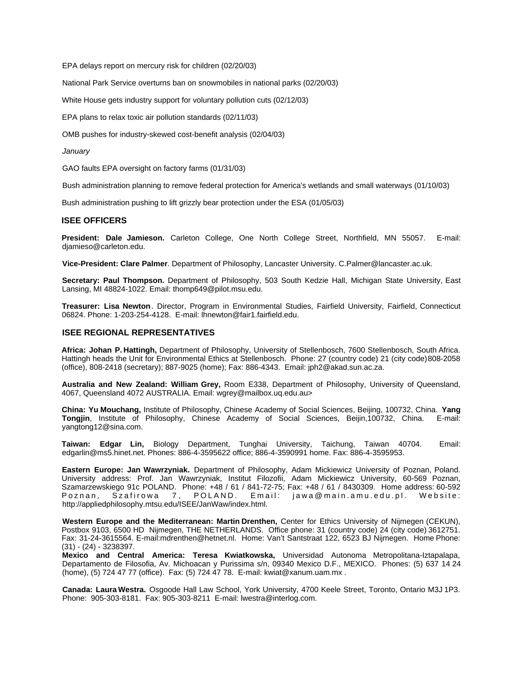EPA delays report on mercury risk for children (02/20/03)

National Park Service overturns ban on snowmobiles in national parks (02/20/03)

White House gets industry support for voluntary pollution cuts (02/12/03)

EPA plans to relax toxic air pollution standards (02/11/03)

OMB pushes for industry-skewed cost-benefit analysis (02/04/03)

#### *January*

GAO faults EPA oversight on factory farms (01/31/03)

Bush administration planning to remove federal protection for America's wetlands and small waterways (01/10/03)

Bush administration pushing to lift grizzly bear protection under the ESA (01/05/03)

#### **ISEE OFFICERS**

**President: Dale Jamieson.** Carleton College, One North College Street, Northfield, MN 55057. E-mail: djamieso@carleton.edu.

**Vice-President: Clare Palmer**. Department of Philosophy, Lancaster University. C.Palmer@lancaster.ac.uk.

**Secretary: Paul Thompson.** Department of Philosophy, 503 South Kedzie Hall, Michigan State University, East Lansing, MI 48824-1022. Email: thomp649@pilot.msu.edu.

**Treasurer: Lisa Newton**. Director, Program in Environmental Studies, Fairfield University, Fairfield, Connecticut 06824. Phone: 1-203-254-4128. E-mail: lhnewton@fair1.fairfield.edu.

#### **ISEE REGIONAL REPRESENTATIVES**

**Africa: Johan P. Hattingh,** Department of Philosophy, University of Stellenbosch, 7600 Stellenbosch, South Africa. Hattingh heads the Unit for Environmental Ethics at Stellenbosch. Phone: 27 (country code) 21 (city code) 808-2058 (office), 808-2418 (secretary); 887-9025 (home); Fax: 886-4343. Email: jph2@akad.sun.ac.za.

**Australia and New Zealand: William Grey,** Room E338, Department of Philosophy, University of Queensland, 4067, Queensland 4072 AUSTRALIA. Email: wgrey@mailbox.uq.edu.au>

**China: Yu Mouchang,** Institute of Philosophy, Chinese Academy of Social Sciences, Beijing, 100732, China. **Yang Tongjin**, Institute of Philosophy, Chinese Academy of Social Sciences, Beijin,100732, China. yangtong12@sina.com.

**Taiwan: Edgar Lin,** Biology Department, Tunghai University, Taichung, Taiwan 40704. Email: edgarlin@ms5.hinet.net. Phones: 886-4-3595622 office; 886-4-3590991 home. Fax: 886-4-3595953.

**Eastern Europe: Jan Wawrzyniak.** Department of Philosophy, Adam Mickiewicz University of Poznan, Poland. University address: Prof. Jan Wawrzyniak, Institut Filozofii, Adam Mickiewicz University, 60-569 Poznan, Szamarzewskiego 91c POLAND. Phone: +48 / 61 / 841-72-75; Fax: +48 / 61 / 8430309. Home address: 60-592 POLAND. Email: jawa@main.amu.edu.pl. Website: http://appliedphilosophy.mtsu.edu/ISEE/JanWaw/index.html.

**Western Europe and the Mediterranean: Martin Drenthen,** Center for Ethics University of Nijmegen (CEKUN), Postbox 9103, 6500 HD Nijmegen, THE NETHERLANDS. Office phone: 31 (country code) 24 (city code) 3612751. Fax: 31-24-3615564. E-mail:mdrenthen@hetnet.nl. Home: Van't Santstraat 122, 6523 BJ Nijmegen. Home Phone: (31) - (24) - 3238397.

**Mexico and Central America: Teresa Kwiatkowska,** Universidad Autonoma Metropolitana-Iztapalapa, Departamento de Filosofia, Av. Michoacan y Purissima s/n, 09340 Mexico D.F., MEXICO. Phones: (5) 637 14 24 (home), (5) 724 47 77 (office). Fax: (5) 724 47 78. E-mail: kwiat@xanum.uam.mx .

**Canada: Laura Westra.** Osgoode Hall Law School, York University, 4700 Keele Street, Toronto, Ontario M3J 1P3. Phone: 905-303-8181. Fax: 905-303-8211 E-mail: lwestra@interlog.com.